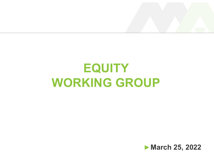

#### **EQUITY** WORKING GROUP

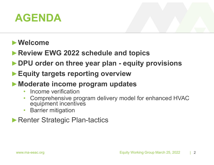#### AGENDA

#### ►Welcome

- ▶Review EWG 2022 schedule and topics
- AGENDA<br>►Welcome<br>► Review EWG 2022 schedule and topics<br>► DPU order on three year plan equity provisions<br>► Equity targets reporting overview
- ▶ Equity targets reporting overview
- ▶ Moderate income program updates
	- Income verification
	- **Moderate income program updates**<br>
	 Income verification<br>
	 Comprehensive program delivery model for enhanced HVAC<br>
	 equipment incentives<br>
	 Barrier mitigation<br>
	 Renter Strategic Plan-tactics<br>
	 Equity Working Group Marc • Comprehensive program delivery model for enhanced HVAC equipment incentives
		- Barrier mitigation
- ▶Renter Strategic Plan-tactics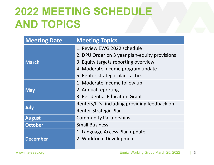#### 2022 MEETING SCHEDULE AND TOPICS

| <b>AND TOPICS</b>   | <b>2022 MEETING SCHEDULE</b>                                                                                                                                                                  |              |
|---------------------|-----------------------------------------------------------------------------------------------------------------------------------------------------------------------------------------------|--------------|
| <b>Meeting Date</b> | <b>Meeting Topics</b>                                                                                                                                                                         |              |
| <b>March</b>        | 1. Review EWG 2022 schedule<br>2. DPU Order on 3 year plan-equity provisions<br>3. Equity targets reporting overview<br>4. Moderate income program update<br>5. Renter strategic plan-tactics |              |
| <b>May</b>          | 1. Moderate income follow up<br>2. Annual reporting<br>3. Residential Education Grant                                                                                                         |              |
| <b>July</b>         | Renters/LL's, including providing feedback on<br><b>Renter Strategic Plan</b>                                                                                                                 |              |
| <b>August</b>       | <b>Community Partnerships</b>                                                                                                                                                                 |              |
| <b>October</b>      | <b>Small Business</b>                                                                                                                                                                         |              |
| <b>December</b>     | 1. Language Access Plan update<br>2. Workforce Development                                                                                                                                    |              |
| www.ma-eeac.org     | Equity Working Group March 25, 2022                                                                                                                                                           | $\mathbf{3}$ |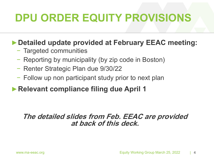# DPU ORDER EQUITY PROVISIONS

#### ►Detailed update provided at February EEAC meeting:

- − Targeted communities
- − Reporting by municipality (by zip code in Boston)
- − Renter Strategic Plan due 9/30/22
- − Follow up non participant study prior to next plan
- ▶Relevant compliance filing due April 1

## Relevant compliance filing due April 1<br>The detailed slides from Feb. EEAC are provided<br>at back of this deck.<br>Equity Working Group March 25, 2022 14 The detailed slides from Feb. EEAC are provided at back of this deck.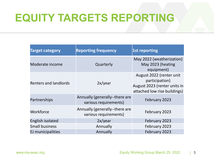#### EQUITY TARGETS REPORTING

| <b>EQUITY TARGETS REPORTING</b> |                                                         |                                                                                                            |
|---------------------------------|---------------------------------------------------------|------------------------------------------------------------------------------------------------------------|
| <b>Target category</b>          | <b>Reporting frequency</b>                              | 1st reporting                                                                                              |
| Moderate income                 | Quarterly                                               | May 2022 (weatherization)<br>May 2023 (heating<br>equipment)                                               |
| <b>Renters and landlords</b>    | 2x/year                                                 | August 2022 (renter unit<br>participation)<br>August 2023 (renter units in<br>attached low rise buildings) |
| Partnerships                    | Annually (generally--there are<br>various requirements) | February 2023                                                                                              |
| Workforce                       | Annually (generally--there are<br>various requirements) | February 2023                                                                                              |
| English isolated                | 2x/year                                                 | February 2023                                                                                              |
| <b>Small business</b>           | Annually                                                | February 2023                                                                                              |
| EJ municipalities               | Annually                                                | February 2023                                                                                              |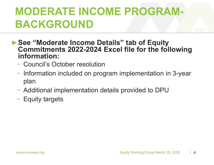#### MODERATE INCOME PROGRAM-BACKGROUND

- ▶ See "Moderate Income Details" tab of Equity Commitments 2022-2024 Excel file for the following information:
	- − Council's October resolution
	- − Information included on program implementation in 3-year plan
	- Additional implementation details provided to DPU<br>- Equity targets<br>www.ma-eeac.org<br>Equity Working Group March 25, 2022 | 6 − Additional implementation details provided to DPU
	- − Equity targets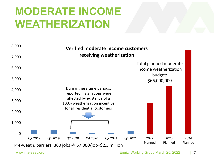#### MODERATE INCOME WEATHERIZATION

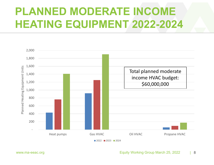#### PLANNED MODERATE INCOME HEATING EQUIPMENT 2022-2024



**2022 2023 2024**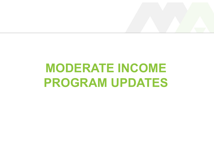# MODERATE INCOME NODERATE INCOME<br>PROGRAM UPDATES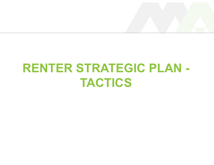#### RENTER STRATEGIC PLAN - TACTICS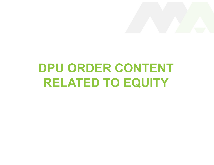#### DPU ORDER CONTENT RELATED TO EQUITY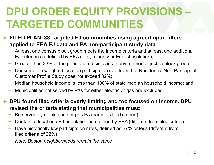### DPU ORDER EQUITY PROVISIONS – TARGETED COMMUNITIES **DPU ORDER EQUITY PROVISIONS –**<br>
FILED PLAN: 38 Targeted EJ communities using agreed-upon filters<br>
applied to EEA EJ data and PA non-participant study data<br>− At least one census block group meets the income criteria and a **DPU ORDER EQUITY PROVISIONS —**<br> **TARGETED COMMUNITIES**<br>
FILED PLAN: 38 Targeted EJ communities using agreed-upon filters<br>
applied to EEA EJ data and PA non-participant study data<br>
- At least one census block group meets t **CURCUST PROVISIONS**<br>
FILED PLAN: 38 Targeted EJ communities using agreed-upon filters<br>
FILED PLAN: 38 Targeted EJ communities using agreed-upon filters<br>
- At least one census block group meets the income criteria and at

- FILED PLAN: 38 Targeted EJ communities using agreed-upon filters FILED PLAN: 38 Targeted EJ communities using agreed-upon filters<br>applied to EEA EJ data and PA non-participant study data<br>- At least one census block group meets the income criteria and at least one additional<br>EJ criterio
	-
	-
	-
	-
	-
- Wedian nousehold income is less than 100% of state median nousehold income; and<br>Municipalities not served by PAs for either electric or gas are excluded.<br> **PU found filed criteria overly limiting and too focused on income. Property Form:** The and **PA non-participant study data**<br> **Photo CEA EJ data and PA non-participant study data**<br>
- At least one census block group meets the income criteria and at least one additional<br>
EJ criterion as def − Consumption weighted location participation rate from the<br>
Customer Profile Study does not exceed 32%;<br>
− Median household income is less than 100% of state med<br>
− Municipalities not served by PAs for either electric or
	-
	-
	-
	-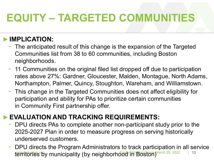# EQUITY – TARGETED COMMUNITIES

#### ►IMPLICATION:

- − The anticipated result of this change is the expansion of the Targeted EQUITY - TARGETED COMMUNITIES<br>
- The anticipated result of this change is the expansion of the Targeted<br>
Communities list from 38 to 60 communities, including Boston<br>
- 11 Communities on the original filed list dropped off
- **EQUITY TARGETED COMMUNITIES**<br>
IMPLICATION:<br>
− The anticipated result of this change is the expansion of the Targeted<br>
Communities list from 38 to 60 communities, including Boston<br>
− 11 Communities on the original filed **QUITY – TARGETED COMMUNITIES**<br>The anticipated result of this change is the expansion of the Targeted<br>Communities list from 38 to 60 communities, including Boston<br>neighborhoods.<br>11 Communities on the original filed list dr NORTRIMPUNT THE TRIMPUNT THES<br>
- The anticipated result of this change is the expansion of the Targeted<br>
Communities list from 38 to 60 communities, including Boston<br>
- 11 Communities on the original filed list dropped of **IPLICATION:**<br>The anticipated result of this change is the exp<br>Communities list from 38 to 60 communities, i<br>neighborhoods.<br>11 Communities on the original filed list dropp<br>rates above 27%: Gardner, Gloucester, Malde<br>Northa Fracking Science Communities is from 38 to 60 communities, including Boston<br>
- 11 Communities on the original filed list dropped off due to participation<br>
rates above 27%: Gardner, Gloucester, Malden, Montague, North Adam 11 Communities on the original filed list dropped off due to participation<br>rates above 27%: Gardner, Gloucester, Malden, Montague, North Adams,<br>Northampton, Palmer, Quincy, Stoughton, Wareham, and Williamstown.<br>This change
	- Northampton, Palmer, Quincy, Stoughton, Wareham, and Williamstown.<br>This change in the Targeted Communities does not affect eligibility for<br>participation and ability for PAs to prioritize certain communities<br>n Community Fir participation and ability for PAs to prioritize certain communities The Communities of the original med itst diopped on due to participation<br>
	rates above 27%: Gardner, Gloucester, Malden, Montague, North Adams,<br>
	Northampton, Palmer, Quincy, Stoughton, Wareham, and Williamstown.<br>
	This cha This change in the Targeted Communities does not affect eligibility for<br>This change in the Targeted Communities does not affect eligibility for<br>participation and ability for PAs to prioritize certain communities<br>in Communi

- 
-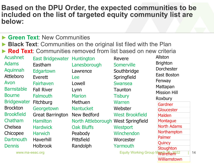### Based on the DPU Order, the expected communities to be included on the list of targeted equity community list are below: Based on the DPU Order, the expected communities to be<br>
included on the list of targeted equity community list are<br>
below:<br>
▶ Green Text: New Communities<br>
▶ Red Text: Communities on the original list filed with the Plan<br>

- **Green Text: New Communities**
- **Black Text: Communities on the original list filed with the Plan**
- 

Fairhaven Lowell Swansea<br>
Harhaven Lynn Taunton Marion Tisbury<br>
He Falmouth Marion Tisbury<br>
Ewater Fitchburg Methuen<br>
ton Georgetown Nantucket Webster<br>
Institute Webster<br>
Insurance Harmilton North Attleborough West Springf Acushnet Adams Aquinnah Attleboro Avon Fairhaven Barnstable Bourne Falmouth **Bridgewater** Brockton Georgetown Brookfield Great Barrington New Bedford Chatham Hamilton Morth Attleborough West Springfield Montague Chelsea Hardwick Chicopee Harwich Dartmouth Haverhill Pittsfield Dennis Holbrook Everett Fall River Lynn **Fitchburg** Haverhill

Edgartown Lawrence Hardwick Oak Bluffs Harwich Peabody Lowell **Methuen Nantucket** 

Randolph

East Bridgewater Huntington Eastham Lanesborough Lawrence Southbridge Polytiester Lee Springfield Lynn Taunton Marion Tisbury **Dowbury** Pittsfield Worcester Fall Randolph Yarmouth Chaughton Revere **Somerville** Swansea Warren Webster **Westport Winchendon** 

Gardner **Gloucester** Malden **Montague** North Adams **Northampton** Palmer **Quincy Stoughton** Equity Working Group March 26 122 | 14 New Bedford West Brookfield Allston **Brighton Dorchester** East Boston Fenway Mattapan Mission Hill Roxbury

Williamstown